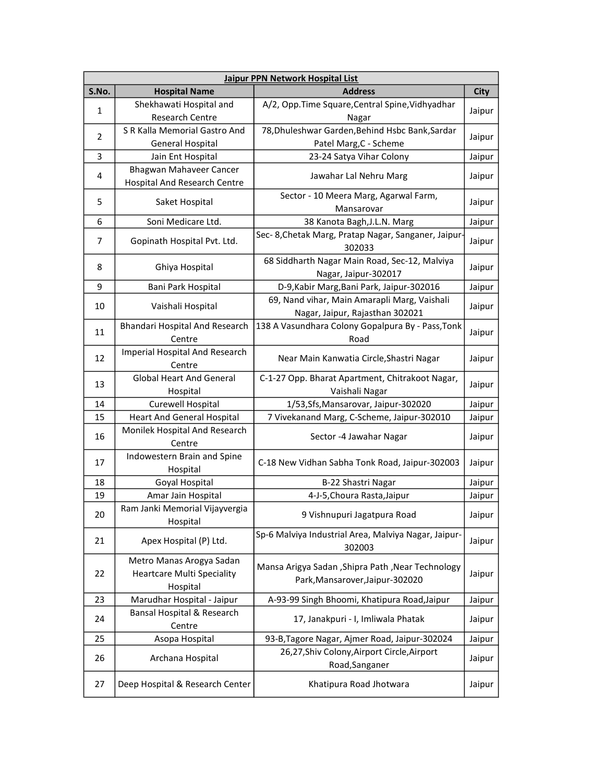| Jaipur PPN Network Hospital List |                                            |                                                                |             |  |  |
|----------------------------------|--------------------------------------------|----------------------------------------------------------------|-------------|--|--|
| S.No.                            | <b>Hospital Name</b>                       | <b>Address</b>                                                 | <b>City</b> |  |  |
| $\mathbf{1}$                     | Shekhawati Hospital and                    | A/2, Opp.Time Square, Central Spine, Vidhyadhar                |             |  |  |
|                                  | <b>Research Centre</b>                     | Nagar                                                          | Jaipur      |  |  |
| 2                                | S R Kalla Memorial Gastro And              | 78, Dhuleshwar Garden, Behind Hsbc Bank, Sardar                | Jaipur      |  |  |
|                                  | <b>General Hospital</b>                    | Patel Marg, C - Scheme                                         |             |  |  |
| 3                                | Jain Ent Hospital                          | 23-24 Satya Vihar Colony                                       | Jaipur      |  |  |
| 4                                | Bhagwan Mahaveer Cancer                    | Jawahar Lal Nehru Marg                                         | Jaipur      |  |  |
|                                  | <b>Hospital And Research Centre</b>        |                                                                |             |  |  |
| 5                                | Saket Hospital                             | Sector - 10 Meera Marg, Agarwal Farm,                          | Jaipur      |  |  |
|                                  |                                            | Mansarovar                                                     |             |  |  |
| 6                                | Soni Medicare Ltd.                         | 38 Kanota Bagh, J.L.N. Marg                                    | Jaipur      |  |  |
| $\overline{7}$                   | Gopinath Hospital Pvt. Ltd.                | Sec- 8, Chetak Marg, Pratap Nagar, Sanganer, Jaipur-<br>302033 | Jaipur      |  |  |
| 8                                | Ghiya Hospital                             | 68 Siddharth Nagar Main Road, Sec-12, Malviya                  | Jaipur      |  |  |
|                                  |                                            | Nagar, Jaipur-302017                                           |             |  |  |
| 9                                | Bani Park Hospital                         | D-9, Kabir Marg, Bani Park, Jaipur-302016                      | Jaipur      |  |  |
| 10                               | Vaishali Hospital                          | 69, Nand vihar, Main Amarapli Marg, Vaishali                   | Jaipur      |  |  |
|                                  |                                            | Nagar, Jaipur, Rajasthan 302021                                |             |  |  |
| 11                               | Bhandari Hospital And Research             | 138 A Vasundhara Colony Gopalpura By - Pass, Tonk              | Jaipur      |  |  |
|                                  | Centre                                     | Road                                                           |             |  |  |
| 12                               | Imperial Hospital And Research             | Near Main Kanwatia Circle, Shastri Nagar                       | Jaipur      |  |  |
|                                  | Centre                                     |                                                                |             |  |  |
| 13                               | <b>Global Heart And General</b>            | C-1-27 Opp. Bharat Apartment, Chitrakoot Nagar,                | Jaipur      |  |  |
|                                  | Hospital                                   | Vaishali Nagar                                                 |             |  |  |
| 14                               | Curewell Hospital                          | 1/53, Sfs, Mansarovar, Jaipur-302020                           | Jaipur      |  |  |
| 15                               | <b>Heart And General Hospital</b>          | 7 Vivekanand Marg, C-Scheme, Jaipur-302010                     | Jaipur      |  |  |
| 16                               | Monilek Hospital And Research              | Sector -4 Jawahar Nagar                                        | Jaipur      |  |  |
|                                  | Centre                                     |                                                                |             |  |  |
| 17                               | Indowestern Brain and Spine                | C-18 New Vidhan Sabha Tonk Road, Jaipur-302003                 | Jaipur      |  |  |
|                                  | Hospital                                   |                                                                |             |  |  |
| 18                               | Goyal Hospital                             | B-22 Shastri Nagar                                             | Jaipur      |  |  |
| 19                               | Amar Jain Hospital                         | 4-J-5, Choura Rasta, Jaipur                                    | Jaipur      |  |  |
| 20                               | Ram Janki Memorial Vijayvergia<br>Hospital | 9 Vishnupuri Jagatpura Road                                    | Jaipur      |  |  |
| 21                               | Apex Hospital (P) Ltd.                     | Sp-6 Malviya Industrial Area, Malviya Nagar, Jaipur-           | Jaipur      |  |  |
|                                  |                                            | 302003                                                         |             |  |  |
|                                  | Metro Manas Arogya Sadan                   | Mansa Arigya Sadan , Shipra Path , Near Technology             |             |  |  |
| 22                               | <b>Heartcare Multi Speciality</b>          | Park, Mansarover, Jaipur-302020                                | Jaipur      |  |  |
|                                  | Hospital                                   |                                                                |             |  |  |
| 23                               | Marudhar Hospital - Jaipur                 | A-93-99 Singh Bhoomi, Khatipura Road, Jaipur                   | Jaipur      |  |  |
| 24                               | Bansal Hospital & Research                 | 17, Janakpuri - I, Imliwala Phatak                             | Jaipur      |  |  |
| 25                               | Centre                                     | 93-B, Tagore Nagar, Ajmer Road, Jaipur-302024                  | Jaipur      |  |  |
|                                  | Asopa Hospital                             | 26,27, Shiv Colony, Airport Circle, Airport                    |             |  |  |
| 26                               | Archana Hospital                           | Road, Sanganer                                                 | Jaipur      |  |  |
|                                  |                                            |                                                                |             |  |  |
| 27                               | Deep Hospital & Research Center            | Khatipura Road Jhotwara                                        | Jaipur      |  |  |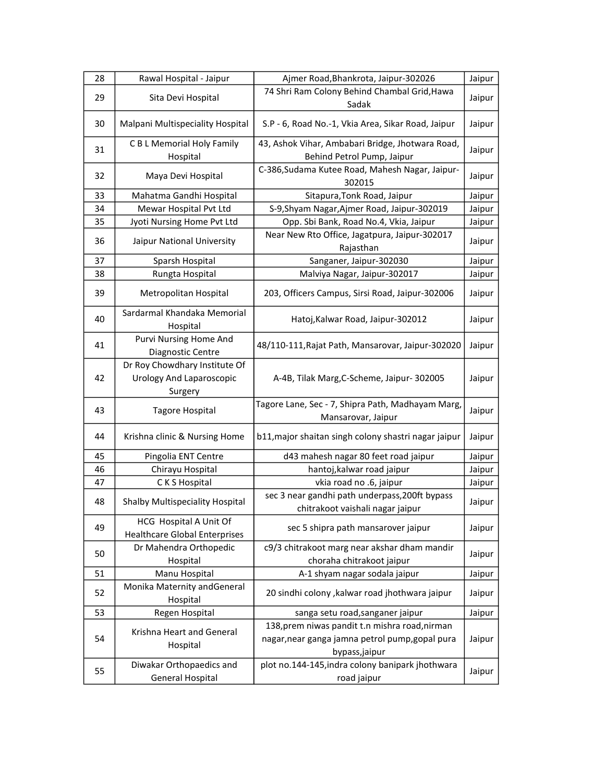| 28 | Rawal Hospital - Jaipur                                                     | Ajmer Road, Bhankrota, Jaipur-302026                                                                               | Jaipur |
|----|-----------------------------------------------------------------------------|--------------------------------------------------------------------------------------------------------------------|--------|
| 29 | Sita Devi Hospital                                                          | 74 Shri Ram Colony Behind Chambal Grid, Hawa<br>Sadak                                                              | Jaipur |
| 30 | Malpani Multispeciality Hospital                                            | S.P - 6, Road No.-1, Vkia Area, Sikar Road, Jaipur                                                                 | Jaipur |
| 31 | C B L Memorial Holy Family<br>Hospital                                      | 43, Ashok Vihar, Ambabari Bridge, Jhotwara Road,<br>Behind Petrol Pump, Jaipur                                     | Jaipur |
| 32 | Maya Devi Hospital                                                          | C-386, Sudama Kutee Road, Mahesh Nagar, Jaipur-<br>302015                                                          | Jaipur |
| 33 | Mahatma Gandhi Hospital                                                     | Sitapura, Tonk Road, Jaipur                                                                                        | Jaipur |
| 34 | Mewar Hospital Pvt Ltd                                                      | S-9, Shyam Nagar, Ajmer Road, Jaipur-302019                                                                        | Jaipur |
| 35 | Jyoti Nursing Home Pvt Ltd                                                  | Opp. Sbi Bank, Road No.4, Vkia, Jaipur                                                                             | Jaipur |
| 36 | Jaipur National University                                                  | Near New Rto Office, Jagatpura, Jaipur-302017<br>Rajasthan                                                         | Jaipur |
| 37 | Sparsh Hospital                                                             | Sanganer, Jaipur-302030                                                                                            | Jaipur |
| 38 | Rungta Hospital                                                             | Malviya Nagar, Jaipur-302017                                                                                       | Jaipur |
| 39 | Metropolitan Hospital                                                       | 203, Officers Campus, Sirsi Road, Jaipur-302006                                                                    | Jaipur |
| 40 | Sardarmal Khandaka Memorial<br>Hospital                                     | Hatoj, Kalwar Road, Jaipur-302012                                                                                  | Jaipur |
| 41 | Purvi Nursing Home And<br>Diagnostic Centre                                 | 48/110-111, Rajat Path, Mansarovar, Jaipur-302020                                                                  | Jaipur |
| 42 | Dr Roy Chowdhary Institute Of<br><b>Urology And Laparoscopic</b><br>Surgery | A-4B, Tilak Marg, C-Scheme, Jaipur- 302005                                                                         | Jaipur |
| 43 | <b>Tagore Hospital</b>                                                      | Tagore Lane, Sec - 7, Shipra Path, Madhayam Marg,<br>Mansarovar, Jaipur                                            | Jaipur |
| 44 | Krishna clinic & Nursing Home                                               | b11, major shaitan singh colony shastri nagar jaipur                                                               | Jaipur |
| 45 | Pingolia ENT Centre                                                         | d43 mahesh nagar 80 feet road jaipur                                                                               | Jaipur |
| 46 | Chirayu Hospital                                                            | hantoj, kalwar road jaipur                                                                                         | Jaipur |
| 47 | C K S Hospital                                                              | vkia road no .6, jaipur                                                                                            | Jaipur |
| 48 | Shalby Multispeciality Hospital                                             | sec 3 near gandhi path underpass, 200ft bypass<br>chitrakoot vaishali nagar jaipur                                 | Jaipur |
| 49 | HCG Hospital A Unit Of<br><b>Healthcare Global Enterprises</b>              | sec 5 shipra path mansarover jaipur                                                                                | Jaipur |
| 50 | Dr Mahendra Orthopedic<br>Hospital                                          | c9/3 chitrakoot marg near akshar dham mandir<br>choraha chitrakoot jaipur                                          | Jaipur |
| 51 | Manu Hospital                                                               | A-1 shyam nagar sodala jaipur                                                                                      | Jaipur |
| 52 | Monika Maternity andGeneral<br>Hospital                                     | 20 sindhi colony , kalwar road jhothwara jaipur                                                                    | Jaipur |
| 53 | Regen Hospital                                                              | sanga setu road, sanganer jaipur                                                                                   | Jaipur |
| 54 | Krishna Heart and General<br>Hospital                                       | 138, prem niwas pandit t.n mishra road, nirman<br>nagar, near ganga jamna petrol pump, gopal pura<br>bypass,jaipur | Jaipur |
| 55 | Diwakar Orthopaedics and<br><b>General Hospital</b>                         | plot no.144-145, indra colony banipark jhothwara<br>road jaipur                                                    | Jaipur |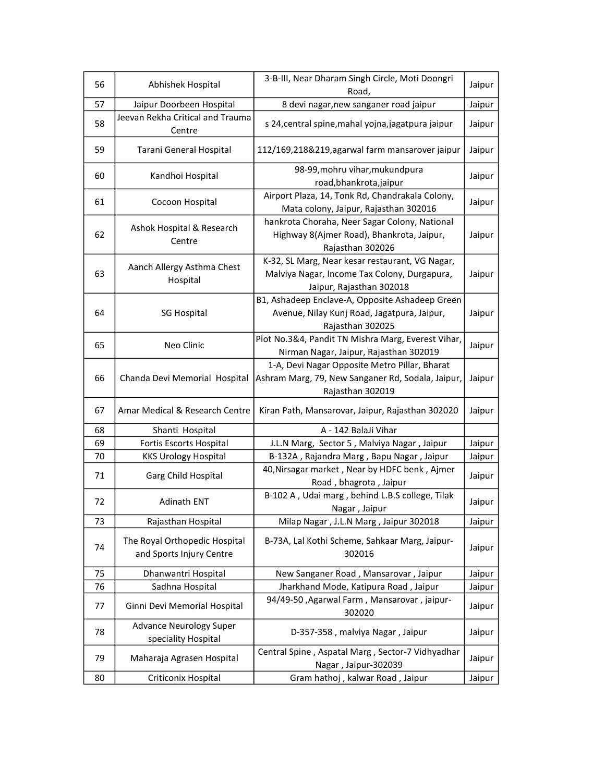| 56 | Abhishek Hospital                                         | 3-B-III, Near Dharam Singh Circle, Moti Doongri<br>Road,                                                                    | Jaipur |
|----|-----------------------------------------------------------|-----------------------------------------------------------------------------------------------------------------------------|--------|
| 57 | Jaipur Doorbeen Hospital                                  | 8 devi nagar, new sanganer road jaipur                                                                                      | Jaipur |
| 58 | Jeevan Rekha Critical and Trauma<br>Centre                | s 24, central spine, mahal yojna, jagatpura jaipur                                                                          | Jaipur |
| 59 | Tarani General Hospital                                   | 112/169,218&219,agarwal farm mansarover jaipur                                                                              | Jaipur |
| 60 | Kandhoi Hospital                                          | 98-99, mohru vihar, mukundpura<br>road, bhankrota, jaipur                                                                   | Jaipur |
| 61 | Cocoon Hospital                                           | Airport Plaza, 14, Tonk Rd, Chandrakala Colony,<br>Mata colony, Jaipur, Rajasthan 302016                                    | Jaipur |
| 62 | Ashok Hospital & Research<br>Centre                       | hankrota Choraha, Neer Sagar Colony, National<br>Highway 8(Ajmer Road), Bhankrota, Jaipur,<br>Rajasthan 302026              | Jaipur |
| 63 | Aanch Allergy Asthma Chest<br>Hospital                    | K-32, SL Marg, Near kesar restaurant, VG Nagar,<br>Malviya Nagar, Income Tax Colony, Durgapura,<br>Jaipur, Rajasthan 302018 | Jaipur |
| 64 | <b>SG Hospital</b>                                        | B1, Ashadeep Enclave-A, Opposite Ashadeep Green<br>Avenue, Nilay Kunj Road, Jagatpura, Jaipur,<br>Rajasthan 302025          | Jaipur |
| 65 | Neo Clinic                                                | Plot No.3&4, Pandit TN Mishra Marg, Everest Vihar,<br>Nirman Nagar, Jaipur, Rajasthan 302019                                | Jaipur |
| 66 | Chanda Devi Memorial Hospital                             | 1-A, Devi Nagar Opposite Metro Pillar, Bharat<br>Ashram Marg, 79, New Sanganer Rd, Sodala, Jaipur,<br>Rajasthan 302019      | Jaipur |
| 67 | Amar Medical & Research Centre                            | Kiran Path, Mansarovar, Jaipur, Rajasthan 302020                                                                            | Jaipur |
| 68 | Shanti Hospital                                           | A - 142 BalaJi Vihar                                                                                                        |        |
| 69 | Fortis Escorts Hospital                                   | J.L.N Marg, Sector 5, Malviya Nagar, Jaipur                                                                                 | Jaipur |
| 70 | <b>KKS Urology Hospital</b>                               | B-132A, Rajandra Marg, Bapu Nagar, Jaipur                                                                                   | Jaipur |
| 71 | Garg Child Hospital                                       | 40, Nirsagar market, Near by HDFC benk, Ajmer<br>Road, bhagrota, Jaipur                                                     | Jaipur |
| 72 | <b>Adinath ENT</b>                                        | B-102 A, Udai marg, behind L.B.S college, Tilak<br>Nagar, Jaipur                                                            | Jaipur |
| 73 | Rajasthan Hospital                                        | Milap Nagar, J.L.N Marg, Jaipur 302018                                                                                      | Jaipur |
| 74 | The Royal Orthopedic Hospital<br>and Sports Injury Centre | B-73A, Lal Kothi Scheme, Sahkaar Marg, Jaipur-<br>302016                                                                    | Jaipur |
| 75 | Dhanwantri Hospital                                       | New Sanganer Road, Mansarovar, Jaipur                                                                                       | Jaipur |
| 76 | Sadhna Hospital                                           | Jharkhand Mode, Katipura Road, Jaipur                                                                                       | Jaipur |
| 77 | Ginni Devi Memorial Hospital                              | 94/49-50, Agarwal Farm, Mansarovar, jaipur-<br>302020                                                                       | Jaipur |
| 78 | <b>Advance Neurology Super</b><br>speciality Hospital     | D-357-358, malviya Nagar, Jaipur                                                                                            | Jaipur |
| 79 | Maharaja Agrasen Hospital                                 | Central Spine, Aspatal Marg, Sector-7 Vidhyadhar<br>Nagar, Jaipur-302039                                                    | Jaipur |
| 80 | Criticonix Hospital                                       | Gram hathoj, kalwar Road, Jaipur                                                                                            | Jaipur |